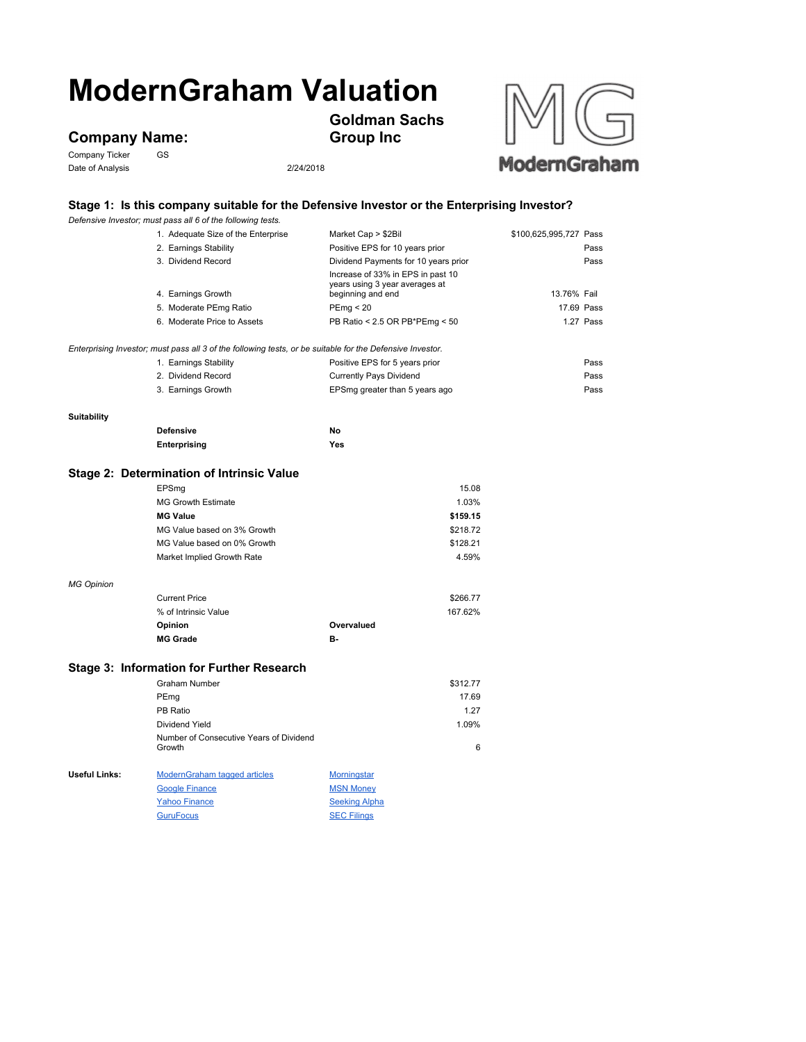# **ModernGraham Valuation**

## **Company Name:**<br>Company Ticker GS

Company Ticker Date of Analysis 2/24/2018



### **Stage 1: Is this company suitable for the Defensive Investor or the Enterprising Investor?**

**Goldman Sachs** 

**Group Inc**

|                                           | Defensive Investor; must pass all 6 of the following tests.                                               |                                                                                          |                        |  |
|-------------------------------------------|-----------------------------------------------------------------------------------------------------------|------------------------------------------------------------------------------------------|------------------------|--|
|                                           | 1. Adequate Size of the Enterprise                                                                        | Market Cap > \$2Bil                                                                      | \$100,625,995,727 Pass |  |
|                                           | 2. Earnings Stability                                                                                     | Positive EPS for 10 years prior                                                          | Pass                   |  |
|                                           | 3. Dividend Record                                                                                        | Dividend Payments for 10 years prior                                                     | Pass                   |  |
|                                           | 4. Earnings Growth                                                                                        | Increase of 33% in EPS in past 10<br>years using 3 year averages at<br>beginning and end | 13.76% Fail            |  |
|                                           | 5. Moderate PEmg Ratio                                                                                    | PEmp < 20                                                                                | 17.69 Pass             |  |
|                                           | 6. Moderate Price to Assets                                                                               | PB Ratio < 2.5 OR PB*PEmg < 50                                                           | 1.27 Pass              |  |
|                                           |                                                                                                           |                                                                                          |                        |  |
|                                           | Enterprising Investor; must pass all 3 of the following tests, or be suitable for the Defensive Investor. |                                                                                          |                        |  |
|                                           | 1. Earnings Stability                                                                                     | Positive EPS for 5 years prior                                                           | Pass                   |  |
|                                           | 2. Dividend Record                                                                                        | <b>Currently Pays Dividend</b>                                                           | Pass                   |  |
|                                           | 3. Earnings Growth                                                                                        | EPSmg greater than 5 years ago                                                           | Pass                   |  |
| <b>Suitability</b>                        |                                                                                                           |                                                                                          |                        |  |
|                                           | <b>Defensive</b>                                                                                          | No                                                                                       |                        |  |
|                                           | Enterprising                                                                                              | Yes                                                                                      |                        |  |
|                                           |                                                                                                           |                                                                                          |                        |  |
| Stage 2: Determination of Intrinsic Value |                                                                                                           |                                                                                          |                        |  |
|                                           | EPSmg                                                                                                     | 15.08                                                                                    |                        |  |
|                                           | MG Growth Estimate                                                                                        | 1.03%                                                                                    |                        |  |
|                                           | <b>MG Value</b>                                                                                           | \$159.15                                                                                 |                        |  |
|                                           | MG Value based on 3% Growth                                                                               | \$218.72                                                                                 |                        |  |
|                                           | MG Value based on 0% Growth                                                                               | \$128.21                                                                                 |                        |  |
|                                           | Market Implied Growth Rate                                                                                | 4.59%                                                                                    |                        |  |
| <b>MG Opinion</b>                         |                                                                                                           |                                                                                          |                        |  |
|                                           | <b>Current Price</b>                                                                                      | \$266.77                                                                                 |                        |  |
|                                           | % of Intrinsic Value                                                                                      | 167.62%                                                                                  |                        |  |
|                                           | Opinion                                                                                                   | Overvalued                                                                               |                        |  |
|                                           | <b>MG Grade</b>                                                                                           | в-                                                                                       |                        |  |
|                                           | Stage 3: Information for Further Research                                                                 |                                                                                          |                        |  |
|                                           | <b>Graham Number</b>                                                                                      | \$312.77                                                                                 |                        |  |
|                                           |                                                                                                           | 17.69                                                                                    |                        |  |
|                                           | PEmg<br>PB Ratio                                                                                          | 1.27                                                                                     |                        |  |
|                                           |                                                                                                           |                                                                                          |                        |  |
|                                           | Dividend Yield<br>Number of Consecutive Years of Dividend                                                 | 1.09%                                                                                    |                        |  |
|                                           | Growth                                                                                                    | 6                                                                                        |                        |  |
| Useful Links:                             | ModernGraham tagged articles                                                                              | <b>Morningstar</b>                                                                       |                        |  |
|                                           | <b>Google Finance</b>                                                                                     | <b>MSN Money</b>                                                                         |                        |  |
|                                           | <b>Yahoo Finance</b>                                                                                      | <b>Seeking Alpha</b>                                                                     |                        |  |
|                                           | <b>GuruFocus</b>                                                                                          | <b>SEC Filings</b>                                                                       |                        |  |
|                                           |                                                                                                           |                                                                                          |                        |  |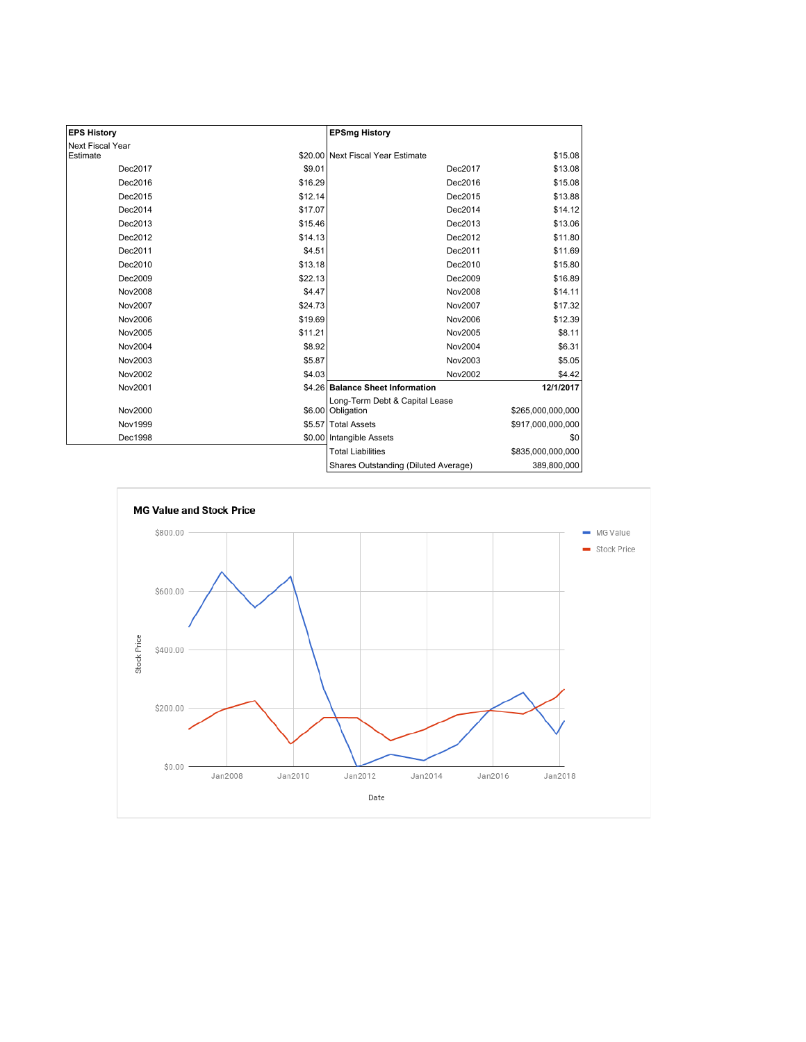| <b>EPS History</b> |         | <b>EPSmg History</b>                                |                   |
|--------------------|---------|-----------------------------------------------------|-------------------|
| Next Fiscal Year   |         |                                                     |                   |
| Estimate           |         | \$20.00 Next Fiscal Year Estimate                   | \$15.08           |
| Dec2017            | \$9.01  | Dec2017                                             | \$13.08           |
| Dec2016            | \$16.29 | Dec2016                                             | \$15.08           |
| Dec2015            | \$12.14 | Dec2015                                             | \$13.88           |
| Dec2014            | \$17.07 | Dec2014                                             | \$14.12           |
| Dec2013            | \$15.46 | Dec2013                                             | \$13.06           |
| Dec2012            | \$14.13 | Dec2012                                             | \$11.80           |
| Dec2011            | \$4.51  | Dec2011                                             | \$11.69           |
| Dec2010            | \$13.18 | Dec2010                                             | \$15.80           |
| Dec2009            | \$22.13 | Dec2009                                             | \$16.89           |
| <b>Nov2008</b>     | \$4.47  | Nov2008                                             | \$14.11           |
| Nov2007            | \$24.73 | Nov2007                                             | \$17.32           |
| Nov2006            | \$19.69 | Nov2006                                             | \$12.39           |
| Nov2005            | \$11.21 | Nov2005                                             | \$8.11            |
| Nov2004            | \$8.92  | Nov2004                                             | \$6.31            |
| Nov2003            | \$5.87  | Nov2003                                             | \$5.05            |
| Nov2002            | \$4.03  | Nov2002                                             | \$4.42            |
| Nov2001            |         | \$4.26 Balance Sheet Information                    | 12/1/2017         |
| Nov2000            |         | Long-Term Debt & Capital Lease<br>\$6.00 Obligation | \$265,000,000,000 |
| Nov1999            |         | \$5.57 Total Assets                                 | \$917,000,000,000 |
| Dec1998            |         | \$0.00 Intangible Assets                            | \$0               |
|                    |         | <b>Total Liabilities</b>                            | \$835,000,000,000 |
|                    |         | Shares Outstanding (Diluted Average)                | 389,800,000       |